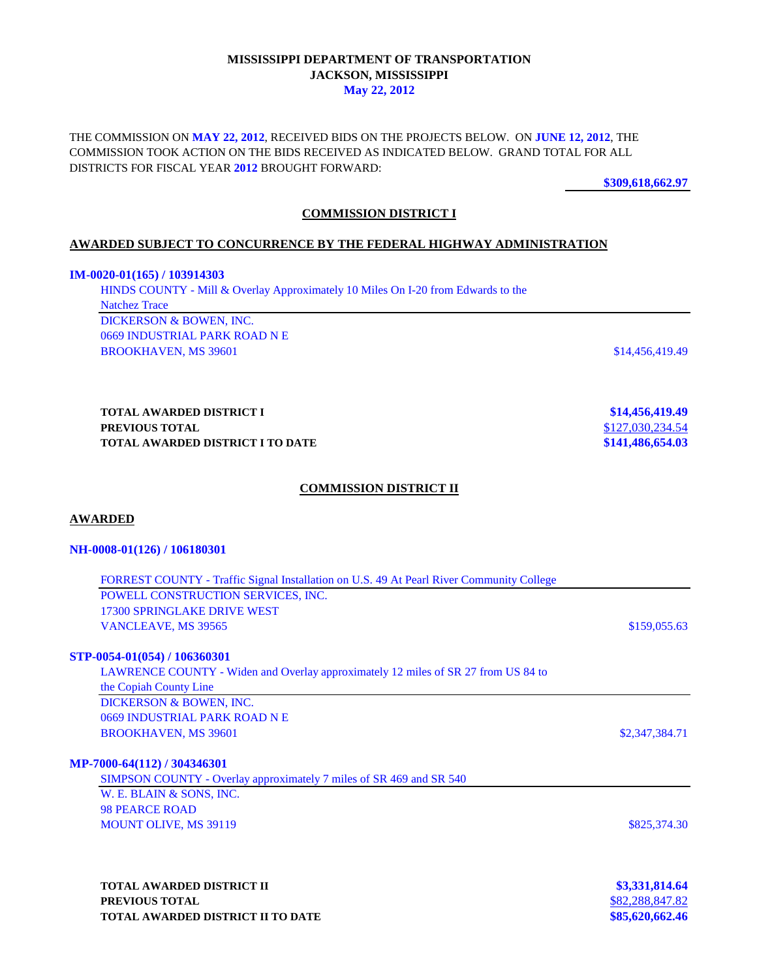### **MISSISSIPPI DEPARTMENT OF TRANSPORTATION JACKSON, MISSISSIPPI May 22, 2012**

THE COMMISSION ON **MAY 22, 2012**, RECEIVED BIDS ON THE PROJECTS BELOW. ON **JUNE 12, 2012**, THE COMMISSION TOOK ACTION ON THE BIDS RECEIVED AS INDICATED BELOW. GRAND TOTAL FOR ALL DISTRICTS FOR FISCAL YEAR **2012** BROUGHT FORWARD:

**\$309,618,662.97**

## **COMMISSION DISTRICT I**

### **AWARDED SUBJECT TO CONCURRENCE BY THE FEDERAL HIGHWAY ADMINISTRATION**

#### **IM-0020-01(165) / 103914303**

HINDS COUNTY - Mill & Overlay Approximately 10 Miles On I-20 from Edwards to the Natchez Trace DICKERSON & BOWEN, INC. 0669 INDUSTRIAL PARK ROAD N E BROOKHAVEN, MS 39601 \$14,456,419.49

**TOTAL AWARDED DISTRICT I \$14,456,419.49 PREVIOUS TOTAL SERVIOUS TOTAL SERVIOUS TOTAL AWARDED DISTRICT I TO DATE TOTAL AWARDED DISTRICT I TO DATE** 

### **COMMISSION DISTRICT II**

### **AWARDED**

#### **NH-0008-01(126) / 106180301**

| FORREST COUNTY - Traffic Signal Installation on U.S. 49 At Pearl River Community College |                 |
|------------------------------------------------------------------------------------------|-----------------|
| POWELL CONSTRUCTION SERVICES, INC.                                                       |                 |
| 17300 SPRINGLAKE DRIVE WEST                                                              |                 |
| VANCLEAVE, MS 39565                                                                      | \$159,055.63    |
| STP-0054-01(054) / 106360301                                                             |                 |
| LAWRENCE COUNTY - Widen and Overlay approximately 12 miles of SR 27 from US 84 to        |                 |
| the Copiah County Line                                                                   |                 |
| DICKERSON & BOWEN, INC.                                                                  |                 |
| 0669 INDUSTRIAL PARK ROAD N E                                                            |                 |
| <b>BROOKHAVEN, MS 39601</b>                                                              | \$2,347,384.71  |
| MP-7000-64(112) / 304346301                                                              |                 |
| SIMPSON COUNTY - Overlay approximately 7 miles of SR 469 and SR 540                      |                 |
| W. E. BLAIN & SONS, INC.                                                                 |                 |
| <b>98 PEARCE ROAD</b>                                                                    |                 |
| <b>MOUNT OLIVE, MS 39119</b>                                                             | \$825,374.30    |
|                                                                                          |                 |
| <b>TOTAL AWARDED DISTRICT II</b>                                                         | \$3,331,814.64  |
| PREVIOUS TOTAL                                                                           | \$82,288,847.82 |
| <b>TOTAL AWARDED DISTRICT II TO DATE</b>                                                 | \$85,620,662.46 |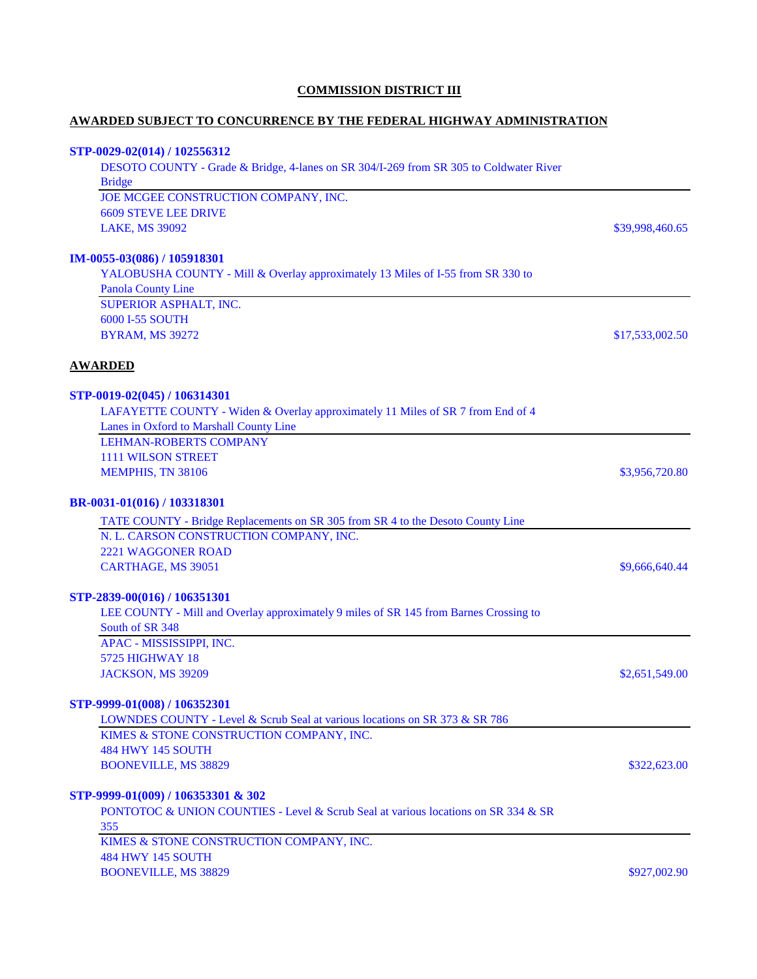## **COMMISSION DISTRICT III**

# **AWARDED SUBJECT TO CONCURRENCE BY THE FEDERAL HIGHWAY ADMINISTRATION**

## **STP-0029-02(014) / 102556312**

| DESOTO COUNTY - Grade & Bridge, 4-lanes on SR 304/I-269 from SR 305 to Coldwater River |                 |
|----------------------------------------------------------------------------------------|-----------------|
| <b>Bridge</b>                                                                          |                 |
| JOE MCGEE CONSTRUCTION COMPANY, INC.                                                   |                 |
| <b>6609 STEVE LEE DRIVE</b>                                                            |                 |
| <b>LAKE, MS 39092</b>                                                                  | \$39,998,460.65 |
| IM-0055-03(086) / 105918301                                                            |                 |
| YALOBUSHA COUNTY - Mill & Overlay approximately 13 Miles of I-55 from SR 330 to        |                 |
| <b>Panola County Line</b>                                                              |                 |
| SUPERIOR ASPHALT, INC.                                                                 |                 |
| 6000 I-55 SOUTH                                                                        |                 |
| <b>BYRAM, MS 39272</b>                                                                 | \$17,533,002.50 |
| <b>AWARDED</b>                                                                         |                 |
| STP-0019-02(045) / 106314301                                                           |                 |
| LAFAYETTE COUNTY - Widen & Overlay approximately 11 Miles of SR 7 from End of 4        |                 |
| Lanes in Oxford to Marshall County Line                                                |                 |
| <b>LEHMAN-ROBERTS COMPANY</b>                                                          |                 |
| <b>1111 WILSON STREET</b>                                                              |                 |
| MEMPHIS, TN 38106                                                                      | \$3,956,720.80  |
| BR-0031-01(016) / 103318301                                                            |                 |
| TATE COUNTY - Bridge Replacements on SR 305 from SR 4 to the Desoto County Line        |                 |
| N. L. CARSON CONSTRUCTION COMPANY, INC.                                                |                 |
| 2221 WAGGONER ROAD                                                                     |                 |
| CARTHAGE, MS 39051                                                                     | \$9,666,640.44  |
| STP-2839-00(016) / 106351301                                                           |                 |
| LEE COUNTY - Mill and Overlay approximately 9 miles of SR 145 from Barnes Crossing to  |                 |
| South of SR 348                                                                        |                 |
| APAC - MISSISSIPPI, INC.                                                               |                 |
| <b>5725 HIGHWAY 18</b>                                                                 |                 |
| <b>JACKSON, MS 39209</b>                                                               | \$2,651,549.00  |
| STP-9999-01(008) / 106352301                                                           |                 |
| LOWNDES COUNTY - Level & Scrub Seal at various locations on SR 373 & SR 786            |                 |
| KIMES & STONE CONSTRUCTION COMPANY, INC.                                               |                 |
| <b>484 HWY 145 SOUTH</b>                                                               |                 |
| <b>BOONEVILLE, MS 38829</b>                                                            | \$322,623.00    |
| STP-9999-01(009) / 106353301 & 302                                                     |                 |
| PONTOTOC & UNION COUNTIES - Level & Scrub Seal at various locations on SR 334 & SR     |                 |
| 355                                                                                    |                 |
| KIMES & STONE CONSTRUCTION COMPANY, INC.                                               |                 |
| <b>484 HWY 145 SOUTH</b>                                                               |                 |
| <b>BOONEVILLE, MS 38829</b>                                                            | \$927,002.90    |